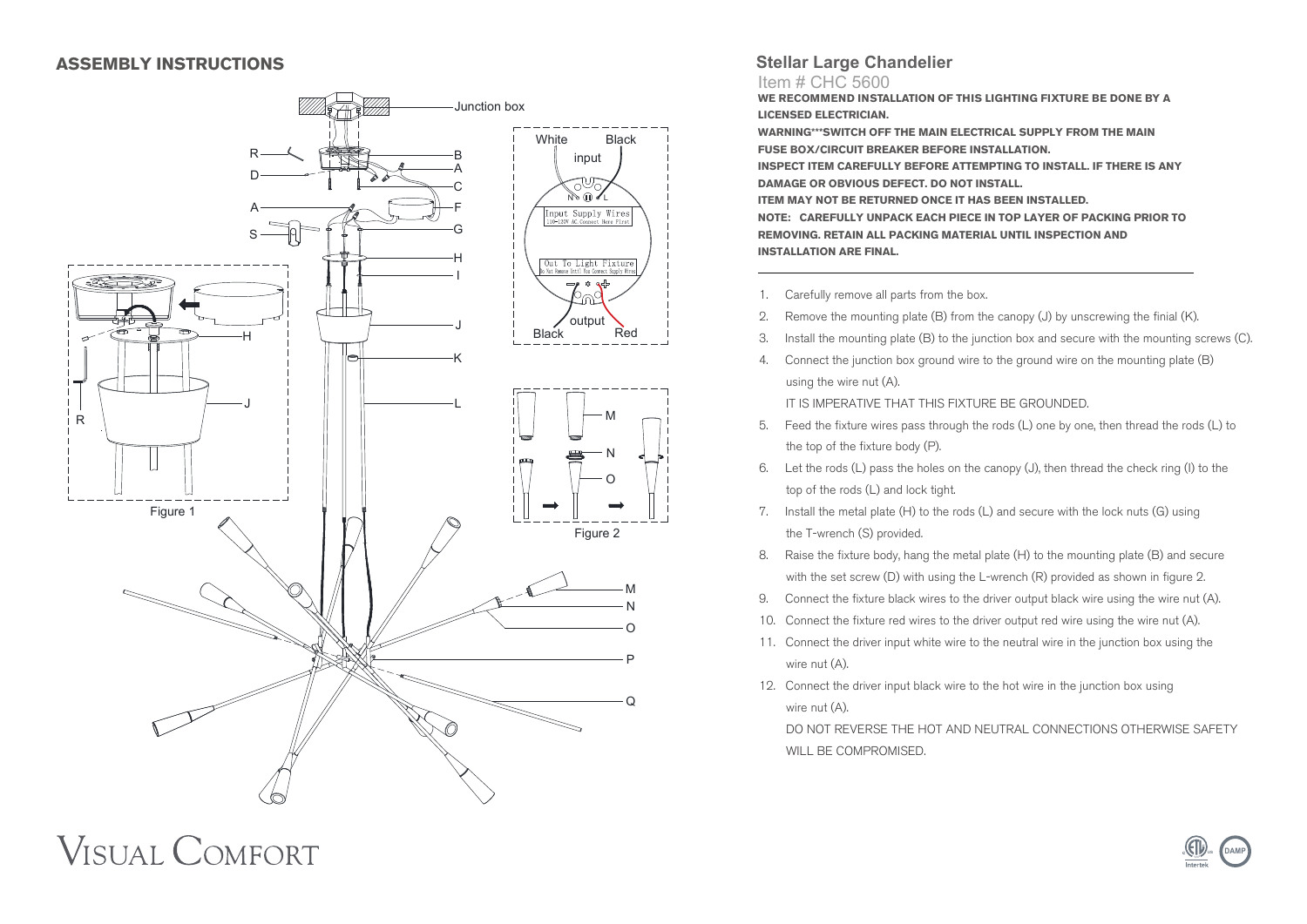#### **ASSEMBLY INSTRUCTIONS**

**VISUAL COMFORT** 



### **Stellar Large Chandelier**

#### Item # CHC 5600

**WE RECOMMEND INSTALLATION OF THIS LIGHTING FIXTURE BE DONE BY A LICENSED ELECTRICIAN.**

**WARNING\*\*\*SWITCH OFF THE MAIN ELECTRICAL SUPPLY FROM THE MAIN FUSE BOX/CIRCUIT BREAKER BEFORE INSTALLATION. INSPECT ITEM CAREFULLY BEFORE ATTEMPTING TO INSTALL. IF THERE IS ANY DAMAGE OR OBVIOUS DEFECT. DO NOT INSTALL. ITEM MAY NOT BE RETURNED ONCE IT HAS BEEN INSTALLED. NOTE: CAREFULLY UNPACK EACH PIECE IN TOP LAYER OF PACKING PRIOR TO REMOVING. RETAIN ALL PACKING MATERIAL UNTIL INSPECTION AND** 

**INSTALLATION ARE FINAL.**

- 1. Carefully remove all parts from the box.
- 2. Remove the mounting plate (B) from the canopy (J) by unscrewing the finial (K).
- 3. Install the mounting plate (B) to the junction box and secure with the mounting screws (C).
- 4. Connect the junction box ground wire to the ground wire on the mounting plate (B) using the wire nut (A).

IT IS IMPERATIVE THAT THIS FIXTURE BE GROUNDED.

- 5. Feed the fixture wires pass through the rods (L) one by one, then thread the rods (L) to the top of the fixture body (P).
- 6. Let the rods (L) pass the holes on the canopy (J), then thread the check ring (I) to the top of the rods (L) and lock tight.
- 7. Install the metal plate (H) to the rods (L) and secure with the lock nuts (G) using the T-wrench (S) provided.
- 8. Raise the fixture body, hang the metal plate (H) to the mounting plate (B) and secure with the set screw (D) with using the L-wrench (R) provided as shown in figure 2.
- 9. Connect the fixture black wires to the driver output black wire using the wire nut (A).
- 10. Connect the fixture red wires to the driver output red wire using the wire nut (A).
- 11. Connect the driver input white wire to the neutral wire in the junction box using the wire nut (A).
- 12. Connect the driver input black wire to the hot wire in the junction box using wire nut (A).

 DO NOT REVERSE THE HOT AND NEUTRAL CONNECTIONS OTHERWISE SAFETY WILL BE COMPROMISED.

# **US LL E DAMP**